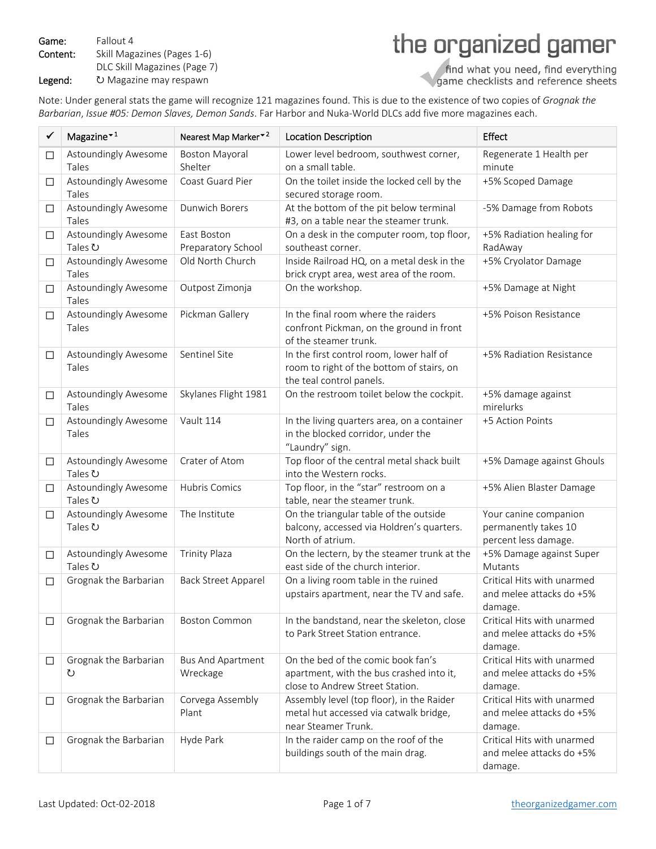Game: Fallout 4 Content: Skill Magazines (Pages 1‐6) DLC Skill Magazines (Page 7) the organized gamer

Legend: **ひ Magazine may respawn** 

find what you need, find everything<br>game checklists and reference sheets

Note: Under general stats the game will recognize 121 magazines found. This is due to the existence of two copies of *Grognak the Barbarian*, *Issue #05: Demon Slaves, Demon Sands*. Far Harbor and Nuka‐World DLCs add five more magazines each.

| ✓      | Magazine $\mathbf{v}^1$         | Nearest Map Marker <sup>-2</sup>         | <b>Location Description</b>                                                                                       | Effect                                                                |
|--------|---------------------------------|------------------------------------------|-------------------------------------------------------------------------------------------------------------------|-----------------------------------------------------------------------|
| $\Box$ | Astoundingly Awesome<br>Tales   | <b>Boston Mayoral</b><br>Shelter         | Lower level bedroom, southwest corner,<br>on a small table.                                                       | Regenerate 1 Health per<br>minute                                     |
| $\Box$ | Astoundingly Awesome<br>Tales   | Coast Guard Pier                         | On the toilet inside the locked cell by the<br>secured storage room.                                              | +5% Scoped Damage                                                     |
| $\Box$ | Astoundingly Awesome<br>Tales   | <b>Dunwich Borers</b>                    | At the bottom of the pit below terminal<br>#3, on a table near the steamer trunk.                                 | -5% Damage from Robots                                                |
| $\Box$ | Astoundingly Awesome<br>Tales ひ | <b>East Boston</b><br>Preparatory School | On a desk in the computer room, top floor,<br>southeast corner.                                                   | +5% Radiation healing for<br>RadAway                                  |
| $\Box$ | Astoundingly Awesome<br>Tales   | Old North Church                         | Inside Railroad HQ, on a metal desk in the<br>brick crypt area, west area of the room.                            | +5% Cryolator Damage                                                  |
| $\Box$ | Astoundingly Awesome<br>Tales   | Outpost Zimonja                          | On the workshop.                                                                                                  | +5% Damage at Night                                                   |
| $\Box$ | Astoundingly Awesome<br>Tales   | Pickman Gallery                          | In the final room where the raiders<br>confront Pickman, on the ground in front<br>of the steamer trunk.          | +5% Poison Resistance                                                 |
| $\Box$ | Astoundingly Awesome<br>Tales   | Sentinel Site                            | In the first control room, lower half of<br>room to right of the bottom of stairs, on<br>the teal control panels. | +5% Radiation Resistance                                              |
| $\Box$ | Astoundingly Awesome<br>Tales   | Skylanes Flight 1981                     | On the restroom toilet below the cockpit.                                                                         | +5% damage against<br>mirelurks                                       |
| $\Box$ | Astoundingly Awesome<br>Tales   | Vault 114                                | In the living quarters area, on a container<br>in the blocked corridor, under the<br>"Laundry" sign.              | +5 Action Points                                                      |
| $\Box$ | Astoundingly Awesome<br>Tales ひ | Crater of Atom                           | Top floor of the central metal shack built<br>into the Western rocks.                                             | +5% Damage against Ghouls                                             |
| $\Box$ | Astoundingly Awesome<br>Tales ひ | Hubris Comics                            | Top floor, in the "star" restroom on a<br>table, near the steamer trunk.                                          | +5% Alien Blaster Damage                                              |
| $\Box$ | Astoundingly Awesome<br>Tales ひ | The Institute                            | On the triangular table of the outside<br>balcony, accessed via Holdren's quarters.<br>North of atrium.           | Your canine companion<br>permanently takes 10<br>percent less damage. |
| $\Box$ | Astoundingly Awesome<br>Tales ひ | <b>Trinity Plaza</b>                     | On the lectern, by the steamer trunk at the<br>east side of the church interior.                                  | +5% Damage against Super<br>Mutants                                   |
| $\Box$ | Grognak the Barbarian           | <b>Back Street Apparel</b>               | On a living room table in the ruined<br>upstairs apartment, near the TV and safe.                                 | Critical Hits with unarmed<br>and melee attacks do +5%<br>damage.     |
| $\Box$ | Grognak the Barbarian           | <b>Boston Common</b>                     | In the bandstand, near the skeleton, close<br>to Park Street Station entrance.                                    | Critical Hits with unarmed<br>and melee attacks do +5%<br>damage.     |
| $\Box$ | Grognak the Barbarian<br>℧      | <b>Bus And Apartment</b><br>Wreckage     | On the bed of the comic book fan's<br>apartment, with the bus crashed into it,<br>close to Andrew Street Station. | Critical Hits with unarmed<br>and melee attacks do +5%<br>damage.     |
| $\Box$ | Grognak the Barbarian           | Corvega Assembly<br>Plant                | Assembly level (top floor), in the Raider<br>metal hut accessed via catwalk bridge,<br>near Steamer Trunk.        | Critical Hits with unarmed<br>and melee attacks do +5%<br>damage.     |
| □      | Grognak the Barbarian           | Hyde Park                                | In the raider camp on the roof of the<br>buildings south of the main drag.                                        | Critical Hits with unarmed<br>and melee attacks do +5%<br>damage.     |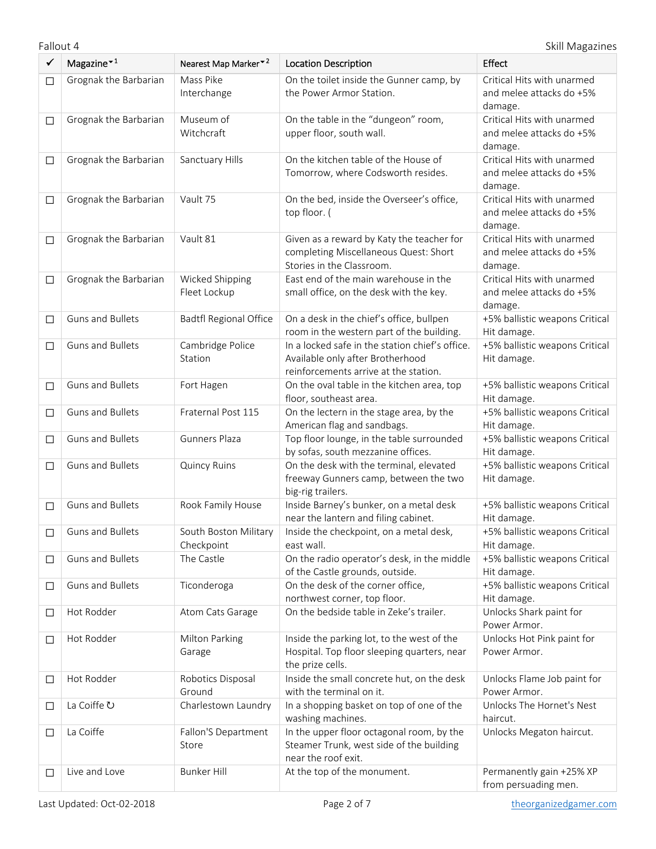Fallout 4 Skill Magazines

| ✓      | Magazine $\mathbf{r}^1$ | Nearest Map Marker <sup>*2</sup>    | <b>Location Description</b>                                                                                                  | Effect                                                            |
|--------|-------------------------|-------------------------------------|------------------------------------------------------------------------------------------------------------------------------|-------------------------------------------------------------------|
| □      | Grognak the Barbarian   | Mass Pike<br>Interchange            | On the toilet inside the Gunner camp, by<br>the Power Armor Station.                                                         | Critical Hits with unarmed<br>and melee attacks do +5%<br>damage. |
| $\Box$ | Grognak the Barbarian   | Museum of<br>Witchcraft             | On the table in the "dungeon" room,<br>upper floor, south wall.                                                              | Critical Hits with unarmed<br>and melee attacks do +5%<br>damage. |
| $\Box$ | Grognak the Barbarian   | Sanctuary Hills                     | On the kitchen table of the House of<br>Tomorrow, where Codsworth resides.                                                   | Critical Hits with unarmed<br>and melee attacks do +5%<br>damage. |
| $\Box$ | Grognak the Barbarian   | Vault 75                            | On the bed, inside the Overseer's office,<br>top floor. (                                                                    | Critical Hits with unarmed<br>and melee attacks do +5%<br>damage. |
| □      | Grognak the Barbarian   | Vault 81                            | Given as a reward by Katy the teacher for<br>completing Miscellaneous Quest: Short<br>Stories in the Classroom.              | Critical Hits with unarmed<br>and melee attacks do +5%<br>damage. |
| □      | Grognak the Barbarian   | Wicked Shipping<br>Fleet Lockup     | East end of the main warehouse in the<br>small office, on the desk with the key.                                             | Critical Hits with unarmed<br>and melee attacks do +5%<br>damage. |
| $\Box$ | <b>Guns and Bullets</b> | <b>Badtfl Regional Office</b>       | On a desk in the chief's office, bullpen<br>room in the western part of the building.                                        | +5% ballistic weapons Critical<br>Hit damage.                     |
| $\Box$ | <b>Guns and Bullets</b> | Cambridge Police<br>Station         | In a locked safe in the station chief's office.<br>Available only after Brotherhood<br>reinforcements arrive at the station. | +5% ballistic weapons Critical<br>Hit damage.                     |
| $\Box$ | <b>Guns and Bullets</b> | Fort Hagen                          | On the oval table in the kitchen area, top<br>floor, southeast area.                                                         | +5% ballistic weapons Critical<br>Hit damage.                     |
| □      | <b>Guns and Bullets</b> | Fraternal Post 115                  | On the lectern in the stage area, by the<br>American flag and sandbags.                                                      | +5% ballistic weapons Critical<br>Hit damage.                     |
| □      | <b>Guns and Bullets</b> | Gunners Plaza                       | Top floor lounge, in the table surrounded<br>by sofas, south mezzanine offices.                                              | +5% ballistic weapons Critical<br>Hit damage.                     |
| $\Box$ | <b>Guns and Bullets</b> | <b>Quincy Ruins</b>                 | On the desk with the terminal, elevated<br>freeway Gunners camp, between the two<br>big-rig trailers.                        | +5% ballistic weapons Critical<br>Hit damage.                     |
| $\Box$ | <b>Guns and Bullets</b> | Rook Family House                   | Inside Barney's bunker, on a metal desk<br>near the lantern and filing cabinet.                                              | +5% ballistic weapons Critical<br>Hit damage.                     |
| □      | <b>Guns and Bullets</b> | South Boston Military<br>Checkpoint | Inside the checkpoint, on a metal desk,<br>east wall.                                                                        | +5% ballistic weapons Critical<br>Hit damage.                     |
| □      | <b>Guns and Bullets</b> | The Castle                          | On the radio operator's desk, in the middle<br>of the Castle grounds, outside.                                               | +5% ballistic weapons Critical<br>Hit damage.                     |
| □      | <b>Guns and Bullets</b> | Ticonderoga                         | On the desk of the corner office,<br>northwest corner, top floor.                                                            | +5% ballistic weapons Critical<br>Hit damage.                     |
| □      | Hot Rodder              | Atom Cats Garage                    | On the bedside table in Zeke's trailer.                                                                                      | Unlocks Shark paint for<br>Power Armor.                           |
| □      | Hot Rodder              | Milton Parking<br>Garage            | Inside the parking lot, to the west of the<br>Hospital. Top floor sleeping quarters, near<br>the prize cells.                | Unlocks Hot Pink paint for<br>Power Armor.                        |
| □      | Hot Rodder              | Robotics Disposal<br>Ground         | Inside the small concrete hut, on the desk<br>with the terminal on it.                                                       | Unlocks Flame Job paint for<br>Power Armor.                       |
| □      | La Coiffe U             | Charlestown Laundry                 | In a shopping basket on top of one of the<br>washing machines.                                                               | Unlocks The Hornet's Nest<br>haircut.                             |
| □      | La Coiffe               | Fallon'S Department<br>Store        | In the upper floor octagonal room, by the<br>Steamer Trunk, west side of the building<br>near the roof exit.                 | Unlocks Megaton haircut.                                          |
| □      | Live and Love           | <b>Bunker Hill</b>                  | At the top of the monument.                                                                                                  | Permanently gain +25% XP<br>from persuading men.                  |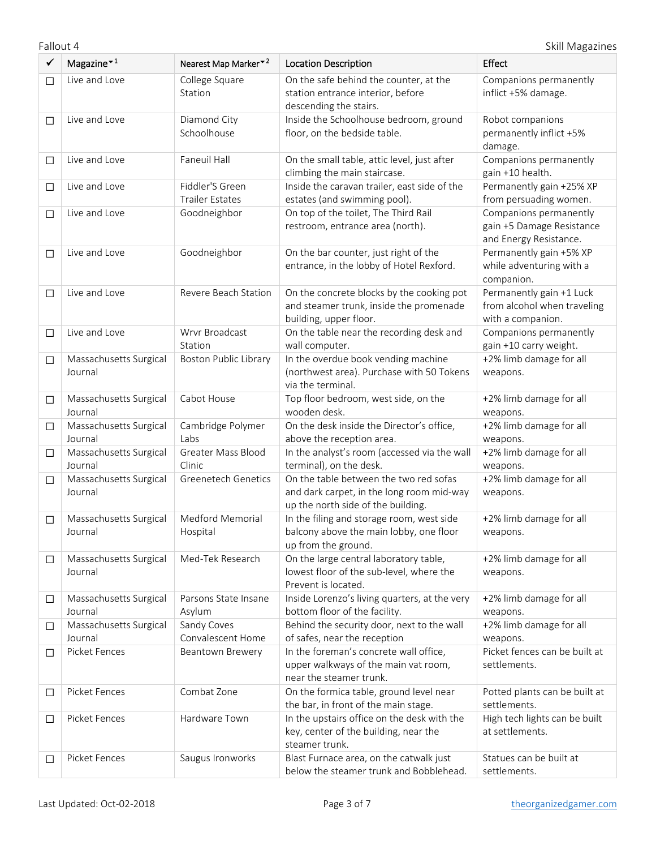Fallout 4 Skill Magazines

| ✓      | Magazine $*1$                                | Nearest Map Marker <sup>-2</sup>          | <b>Location Description</b>                                                                                               | Effect                                                                        |
|--------|----------------------------------------------|-------------------------------------------|---------------------------------------------------------------------------------------------------------------------------|-------------------------------------------------------------------------------|
| $\Box$ | Live and Love                                | College Square<br>Station                 | On the safe behind the counter, at the<br>station entrance interior, before<br>descending the stairs.                     | Companions permanently<br>inflict +5% damage.                                 |
| $\Box$ | Live and Love<br>Diamond City<br>Schoolhouse |                                           | Inside the Schoolhouse bedroom, ground<br>floor, on the bedside table.                                                    | Robot companions<br>permanently inflict +5%<br>damage.                        |
| $\Box$ | Live and Love                                | Faneuil Hall                              | On the small table, attic level, just after<br>climbing the main staircase.                                               | Companions permanently<br>gain +10 health.                                    |
| $\Box$ | Live and Love                                | Fiddler'S Green<br><b>Trailer Estates</b> | Inside the caravan trailer, east side of the<br>estates (and swimming pool).                                              | Permanently gain +25% XP<br>from persuading women.                            |
| $\Box$ | Live and Love                                | Goodneighbor                              | On top of the toilet, The Third Rail<br>restroom, entrance area (north).                                                  | Companions permanently<br>gain +5 Damage Resistance<br>and Energy Resistance. |
| $\Box$ | Live and Love                                | Goodneighbor                              | On the bar counter, just right of the<br>entrance, in the lobby of Hotel Rexford.                                         | Permanently gain +5% XP<br>while adventuring with a<br>companion.             |
| $\Box$ | Live and Love                                | Revere Beach Station                      | On the concrete blocks by the cooking pot<br>and steamer trunk, inside the promenade<br>building, upper floor.            | Permanently gain +1 Luck<br>from alcohol when traveling<br>with a companion.  |
| $\Box$ | Live and Love                                | Wrvr Broadcast<br>Station                 | On the table near the recording desk and<br>wall computer.                                                                | Companions permanently<br>gain +10 carry weight.                              |
| $\Box$ | Massachusetts Surgical<br>Journal            | <b>Boston Public Library</b>              | In the overdue book vending machine<br>(northwest area). Purchase with 50 Tokens<br>via the terminal.                     | +2% limb damage for all<br>weapons.                                           |
| $\Box$ | Massachusetts Surgical<br>Journal            | Cabot House                               | Top floor bedroom, west side, on the<br>wooden desk.                                                                      | +2% limb damage for all<br>weapons.                                           |
| $\Box$ | Massachusetts Surgical<br>Journal            | Cambridge Polymer<br>Labs                 | On the desk inside the Director's office,<br>above the reception area.                                                    | +2% limb damage for all<br>weapons.                                           |
| $\Box$ | Massachusetts Surgical<br>Journal            | Greater Mass Blood<br>Clinic              | In the analyst's room (accessed via the wall<br>terminal), on the desk.                                                   | +2% limb damage for all<br>weapons.                                           |
| $\Box$ | Massachusetts Surgical<br>Journal            | <b>Greenetech Genetics</b>                | On the table between the two red sofas<br>and dark carpet, in the long room mid-way<br>up the north side of the building. | +2% limb damage for all<br>weapons.                                           |
| $\Box$ | Massachusetts Surgical<br>Journal            | Medford Memorial<br>Hospital              | In the filing and storage room, west side<br>balcony above the main lobby, one floor<br>up from the ground.               | +2% limb damage for all<br>weapons.                                           |
| $\Box$ | Massachusetts Surgical<br>Journal            | Med-Tek Research                          | On the large central laboratory table,<br>lowest floor of the sub-level, where the<br>Prevent is located.                 | +2% limb damage for all<br>weapons.                                           |
| $\Box$ | Massachusetts Surgical<br>Journal            | Parsons State Insane<br>Asylum            | Inside Lorenzo's living quarters, at the very<br>bottom floor of the facility.                                            | +2% limb damage for all<br>weapons.                                           |
| $\Box$ | Massachusetts Surgical<br>Journal            | Sandy Coves<br>Convalescent Home          | Behind the security door, next to the wall<br>of safes, near the reception                                                | +2% limb damage for all<br>weapons.                                           |
| $\Box$ | Picket Fences                                | Beantown Brewery                          | In the foreman's concrete wall office,<br>upper walkways of the main vat room,<br>near the steamer trunk.                 | Picket fences can be built at<br>settlements.                                 |
| $\Box$ | Picket Fences                                | Combat Zone                               | On the formica table, ground level near<br>the bar, in front of the main stage.                                           | Potted plants can be built at<br>settlements.                                 |
| □      | Picket Fences                                | Hardware Town                             | In the upstairs office on the desk with the<br>key, center of the building, near the<br>steamer trunk.                    | High tech lights can be built<br>at settlements.                              |
| $\Box$ | Picket Fences                                | Saugus Ironworks                          | Blast Furnace area, on the catwalk just<br>below the steamer trunk and Bobblehead.                                        | Statues can be built at<br>settlements.                                       |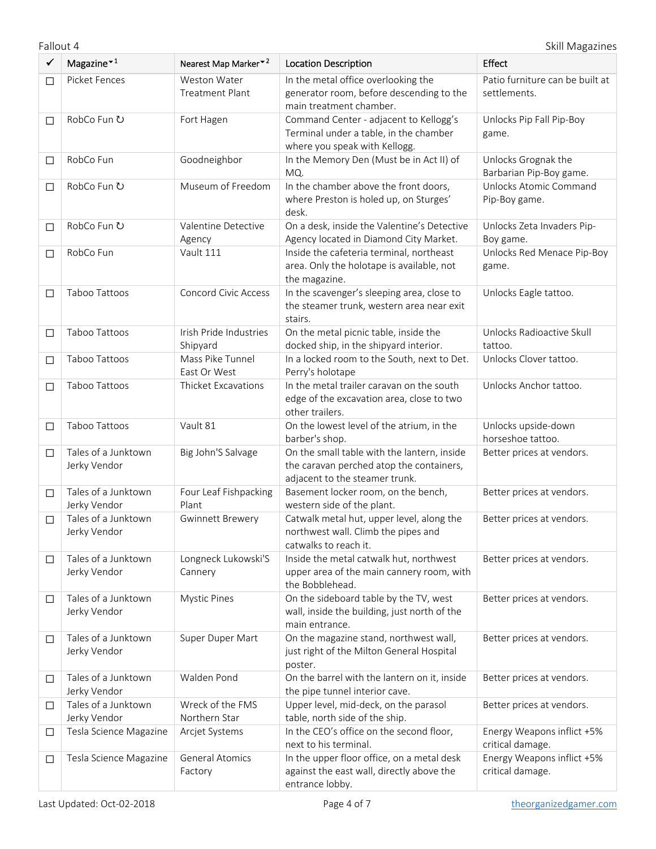| $\checkmark$ | Magazine $*1$                       | Nearest Map Marker <sup>*2</sup>       | <b>Location Description</b>                                                                                               | Effect                                          |
|--------------|-------------------------------------|----------------------------------------|---------------------------------------------------------------------------------------------------------------------------|-------------------------------------------------|
| $\Box$       | Picket Fences                       | Weston Water<br><b>Treatment Plant</b> | In the metal office overlooking the<br>generator room, before descending to the<br>main treatment chamber.                | Patio furniture can be built at<br>settlements. |
| $\Box$       | RobCo Fun ひ<br>Fort Hagen           |                                        | Command Center - adjacent to Kellogg's<br>Terminal under a table, in the chamber<br>where you speak with Kellogg.         | Unlocks Pip Fall Pip-Boy<br>game.               |
| $\Box$       | RobCo Fun                           | Goodneighbor                           | In the Memory Den (Must be in Act II) of<br>MQ.                                                                           | Unlocks Grognak the<br>Barbarian Pip-Boy game.  |
| $\Box$       | RobCo Fun ひ                         | Museum of Freedom                      | In the chamber above the front doors,<br>where Preston is holed up, on Sturges'<br>desk.                                  | Unlocks Atomic Command<br>Pip-Boy game.         |
| $\Box$       | RobCo Fun ひ                         | Valentine Detective<br>Agency          | On a desk, inside the Valentine's Detective<br>Agency located in Diamond City Market.                                     | Unlocks Zeta Invaders Pip-<br>Boy game.         |
| $\Box$       | RobCo Fun                           | Vault 111                              | Inside the cafeteria terminal, northeast<br>area. Only the holotape is available, not<br>the magazine.                    | Unlocks Red Menace Pip-Boy<br>game.             |
| $\Box$       | Taboo Tattoos                       | <b>Concord Civic Access</b>            | In the scavenger's sleeping area, close to<br>the steamer trunk, western area near exit<br>stairs.                        | Unlocks Eagle tattoo.                           |
| $\Box$       | Taboo Tattoos                       | Irish Pride Industries<br>Shipyard     | On the metal picnic table, inside the<br>docked ship, in the shipyard interior.                                           | Unlocks Radioactive Skull<br>tattoo.            |
| $\Box$       | Taboo Tattoos                       | Mass Pike Tunnel<br>East Or West       | In a locked room to the South, next to Det.<br>Perry's holotape                                                           | Unlocks Clover tattoo.                          |
| $\Box$       | Taboo Tattoos                       | Thicket Excavations                    | In the metal trailer caravan on the south<br>edge of the excavation area, close to two<br>other trailers.                 | Unlocks Anchor tattoo.                          |
| $\Box$       | Taboo Tattoos                       | Vault 81                               | On the lowest level of the atrium, in the<br>barber's shop.                                                               | Unlocks upside-down<br>horseshoe tattoo.        |
| $\Box$       | Tales of a Junktown<br>Jerky Vendor | Big John'S Salvage                     | On the small table with the lantern, inside<br>the caravan perched atop the containers,<br>adjacent to the steamer trunk. | Better prices at vendors.                       |
| $\Box$       | Tales of a Junktown<br>Jerky Vendor | Four Leaf Fishpacking<br>Plant         | Basement locker room, on the bench,<br>western side of the plant.                                                         | Better prices at vendors.                       |
| $\Box$       | Tales of a Junktown<br>Jerky Vendor | <b>Gwinnett Brewery</b>                | Catwalk metal hut, upper level, along the<br>northwest wall. Climb the pipes and<br>catwalks to reach it.                 | Better prices at vendors.                       |
| $\Box$       | Tales of a Junktown<br>Jerky Vendor | Longneck Lukowski'S<br>Cannery         | Inside the metal catwalk hut, northwest<br>upper area of the main cannery room, with<br>the Bobblehead.                   | Better prices at vendors.                       |
| $\Box$       | Tales of a Junktown<br>Jerky Vendor | <b>Mystic Pines</b>                    | On the sideboard table by the TV, west<br>wall, inside the building, just north of the<br>main entrance.                  | Better prices at vendors.                       |
| $\Box$       | Tales of a Junktown<br>Jerky Vendor | Super Duper Mart                       | On the magazine stand, northwest wall,<br>just right of the Milton General Hospital<br>poster.                            | Better prices at vendors.                       |
| $\Box$       | Tales of a Junktown<br>Jerky Vendor | Walden Pond                            | On the barrel with the lantern on it, inside<br>the pipe tunnel interior cave.                                            | Better prices at vendors.                       |
| $\Box$       | Tales of a Junktown<br>Jerky Vendor | Wreck of the FMS<br>Northern Star      | Upper level, mid-deck, on the parasol<br>table, north side of the ship.                                                   | Better prices at vendors.                       |
| $\Box$       | Tesla Science Magazine              | Arcjet Systems                         | In the CEO's office on the second floor,<br>next to his terminal.                                                         | Energy Weapons inflict +5%<br>critical damage.  |
| $\Box$       | Tesla Science Magazine              | <b>General Atomics</b><br>Factory      | In the upper floor office, on a metal desk<br>against the east wall, directly above the<br>entrance lobby.                | Energy Weapons inflict +5%<br>critical damage.  |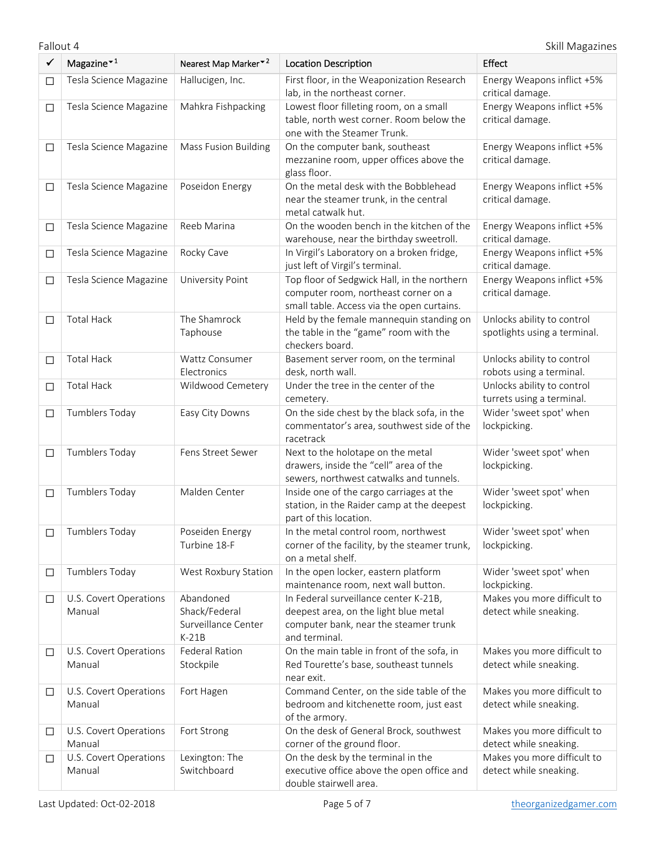| ✓      | Magazine $*1$                    | Nearest Map Marker <sup>▼2</sup>                             | <b>Location Description</b>                                                                                                              | <b>Effect</b>                                              |
|--------|----------------------------------|--------------------------------------------------------------|------------------------------------------------------------------------------------------------------------------------------------------|------------------------------------------------------------|
| □      | Tesla Science Magazine           | Hallucigen, Inc.                                             | First floor, in the Weaponization Research<br>lab, in the northeast corner.                                                              | Energy Weapons inflict +5%<br>critical damage.             |
| $\Box$ | Tesla Science Magazine           | Mahkra Fishpacking                                           | Lowest floor filleting room, on a small<br>table, north west corner. Room below the<br>one with the Steamer Trunk.                       | Energy Weapons inflict +5%<br>critical damage.             |
| □      | Tesla Science Magazine           | <b>Mass Fusion Building</b>                                  | On the computer bank, southeast<br>mezzanine room, upper offices above the<br>glass floor.                                               | Energy Weapons inflict +5%<br>critical damage.             |
| $\Box$ | Tesla Science Magazine           | Poseidon Energy                                              | On the metal desk with the Bobblehead<br>near the steamer trunk, in the central<br>metal catwalk hut.                                    | Energy Weapons inflict +5%<br>critical damage.             |
| $\Box$ | Tesla Science Magazine           | Reeb Marina                                                  | On the wooden bench in the kitchen of the<br>warehouse, near the birthday sweetroll.                                                     | Energy Weapons inflict +5%<br>critical damage.             |
| $\Box$ | Tesla Science Magazine           | Rocky Cave                                                   | In Virgil's Laboratory on a broken fridge,<br>just left of Virgil's terminal.                                                            | Energy Weapons inflict +5%<br>critical damage.             |
| $\Box$ | Tesla Science Magazine           | University Point                                             | Top floor of Sedgwick Hall, in the northern<br>computer room, northeast corner on a<br>small table. Access via the open curtains.        | Energy Weapons inflict +5%<br>critical damage.             |
| □      | <b>Total Hack</b>                | The Shamrock<br>Taphouse                                     | Held by the female mannequin standing on<br>the table in the "game" room with the<br>checkers board.                                     | Unlocks ability to control<br>spotlights using a terminal. |
| □      | <b>Total Hack</b>                | Wattz Consumer<br>Electronics                                | Basement server room, on the terminal                                                                                                    | Unlocks ability to control                                 |
|        | <b>Total Hack</b>                | Wildwood Cemetery                                            | desk, north wall.<br>Under the tree in the center of the                                                                                 | robots using a terminal.<br>Unlocks ability to control     |
| $\Box$ |                                  |                                                              | cemetery.                                                                                                                                | turrets using a terminal.                                  |
| $\Box$ | Tumblers Today                   | Easy City Downs                                              | On the side chest by the black sofa, in the<br>commentator's area, southwest side of the<br>racetrack                                    | Wider 'sweet spot' when<br>lockpicking.                    |
| $\Box$ | <b>Tumblers Today</b>            | Fens Street Sewer                                            | Next to the holotape on the metal<br>drawers, inside the "cell" area of the<br>sewers, northwest catwalks and tunnels.                   | Wider 'sweet spot' when<br>lockpicking.                    |
| $\Box$ | Tumblers Today                   | Malden Center                                                | Inside one of the cargo carriages at the<br>station, in the Raider camp at the deepest<br>part of this location.                         | Wider 'sweet spot' when<br>lockpicking.                    |
| □      | <b>Tumblers Today</b>            | Poseiden Energy<br>Turbine 18-F                              | In the metal control room, northwest<br>corner of the facility, by the steamer trunk,<br>on a metal shelf.                               | Wider 'sweet spot' when<br>lockpicking.                    |
| □      | Tumblers Today                   | West Roxbury Station                                         | In the open locker, eastern platform<br>maintenance room, next wall button.                                                              | Wider 'sweet spot' when<br>lockpicking.                    |
| $\Box$ | U.S. Covert Operations<br>Manual | Abandoned<br>Shack/Federal<br>Surveillance Center<br>$K-21B$ | In Federal surveillance center K-21B,<br>deepest area, on the light blue metal<br>computer bank, near the steamer trunk<br>and terminal. | Makes you more difficult to<br>detect while sneaking.      |
| □      | U.S. Covert Operations<br>Manual | <b>Federal Ration</b><br>Stockpile                           | On the main table in front of the sofa, in<br>Red Tourette's base, southeast tunnels<br>near exit.                                       | Makes you more difficult to<br>detect while sneaking.      |
| $\Box$ | U.S. Covert Operations<br>Manual | Fort Hagen                                                   | Command Center, on the side table of the<br>bedroom and kitchenette room, just east<br>of the armory.                                    | Makes you more difficult to<br>detect while sneaking.      |
| □      | U.S. Covert Operations<br>Manual | Fort Strong                                                  | On the desk of General Brock, southwest<br>corner of the ground floor.                                                                   | Makes you more difficult to<br>detect while sneaking.      |
| $\Box$ | U.S. Covert Operations<br>Manual | Lexington: The<br>Switchboard                                | On the desk by the terminal in the<br>executive office above the open office and<br>double stairwell area.                               | Makes you more difficult to<br>detect while sneaking.      |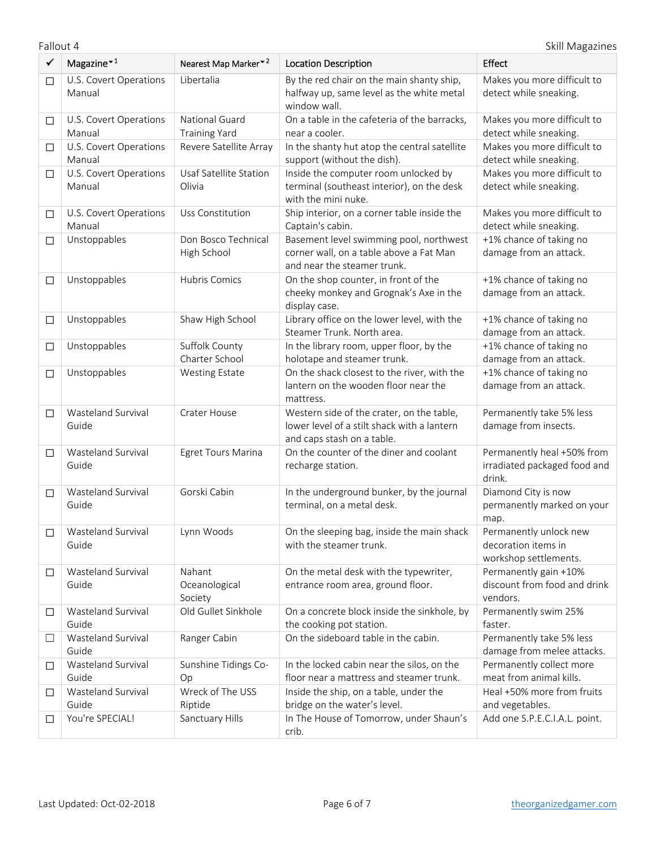| $\checkmark$ | Magazine $*1$                    | Nearest Map Marker <sup>*2</sup>       | <b>Location Description</b>                                                                                            | <b>Effect</b>                                                          |
|--------------|----------------------------------|----------------------------------------|------------------------------------------------------------------------------------------------------------------------|------------------------------------------------------------------------|
| $\Box$       | U.S. Covert Operations<br>Manual | Libertalia                             | By the red chair on the main shanty ship,<br>halfway up, same level as the white metal<br>window wall.                 | Makes you more difficult to<br>detect while sneaking.                  |
| $\Box$       | U.S. Covert Operations<br>Manual | National Guard<br><b>Training Yard</b> | On a table in the cafeteria of the barracks,<br>near a cooler.                                                         | Makes you more difficult to<br>detect while sneaking.                  |
| $\Box$       | U.S. Covert Operations<br>Manual | Revere Satellite Array                 | In the shanty hut atop the central satellite<br>support (without the dish).                                            | Makes you more difficult to<br>detect while sneaking.                  |
| $\Box$       | U.S. Covert Operations<br>Manual | Usaf Satellite Station<br>Olivia       | Inside the computer room unlocked by<br>terminal (southeast interior), on the desk<br>with the mini nuke.              | Makes you more difficult to<br>detect while sneaking.                  |
| $\Box$       | U.S. Covert Operations<br>Manual | Uss Constitution                       | Ship interior, on a corner table inside the<br>Captain's cabin.                                                        | Makes you more difficult to<br>detect while sneaking.                  |
| $\Box$       | Unstoppables                     | Don Bosco Technical<br>High School     | Basement level swimming pool, northwest<br>corner wall, on a table above a Fat Man<br>and near the steamer trunk.      | +1% chance of taking no<br>damage from an attack.                      |
| $\Box$       | Unstoppables                     | Hubris Comics                          | On the shop counter, in front of the<br>cheeky monkey and Grognak's Axe in the<br>display case.                        | +1% chance of taking no<br>damage from an attack.                      |
| $\Box$       | Unstoppables                     | Shaw High School                       | Library office on the lower level, with the<br>Steamer Trunk. North area.                                              | +1% chance of taking no<br>damage from an attack.                      |
| $\Box$       | Unstoppables                     | Suffolk County<br>Charter School       | In the library room, upper floor, by the<br>holotape and steamer trunk.                                                | +1% chance of taking no<br>damage from an attack.                      |
| $\Box$       | Unstoppables                     | <b>Westing Estate</b>                  | On the shack closest to the river, with the<br>lantern on the wooden floor near the<br>mattress.                       | +1% chance of taking no<br>damage from an attack.                      |
| □            | Wasteland Survival<br>Guide      | Crater House                           | Western side of the crater, on the table,<br>lower level of a stilt shack with a lantern<br>and caps stash on a table. | Permanently take 5% less<br>damage from insects.                       |
| □            | Wasteland Survival<br>Guide      | Egret Tours Marina                     | On the counter of the diner and coolant<br>recharge station.                                                           | Permanently heal +50% from<br>irradiated packaged food and<br>drink.   |
| $\Box$       | Wasteland Survival<br>Guide      | Gorski Cabin                           | In the underground bunker, by the journal<br>terminal, on a metal desk.                                                | Diamond City is now<br>permanently marked on your<br>map.              |
| $\Box$       | Wasteland Survival<br>Guide      | Lynn Woods                             | On the sleeping bag, inside the main shack<br>with the steamer trunk.                                                  | Permanently unlock new<br>decoration items in<br>workshop settlements. |
| □            | Wasteland Survival<br>Guide      | Nahant<br>Oceanological<br>Society     | On the metal desk with the typewriter,<br>entrance room area, ground floor.                                            | Permanently gain +10%<br>discount from food and drink<br>vendors.      |
| □            | Wasteland Survival<br>Guide      | Old Gullet Sinkhole                    | On a concrete block inside the sinkhole, by<br>the cooking pot station.                                                | Permanently swim 25%<br>faster.                                        |
| □            | Wasteland Survival<br>Guide      | Ranger Cabin                           | On the sideboard table in the cabin.                                                                                   | Permanently take 5% less<br>damage from melee attacks.                 |
| $\Box$       | Wasteland Survival<br>Guide      | Sunshine Tidings Co-<br>Op             | In the locked cabin near the silos, on the<br>floor near a mattress and steamer trunk.                                 | Permanently collect more<br>meat from animal kills.                    |
| $\Box$       | Wasteland Survival<br>Guide      | Wreck of The USS<br>Riptide            | Inside the ship, on a table, under the<br>bridge on the water's level.                                                 | Heal +50% more from fruits<br>and vegetables.                          |
| □            | You're SPECIAL!                  | Sanctuary Hills                        | In The House of Tomorrow, under Shaun's<br>crib.                                                                       | Add one S.P.E.C.I.A.L. point.                                          |